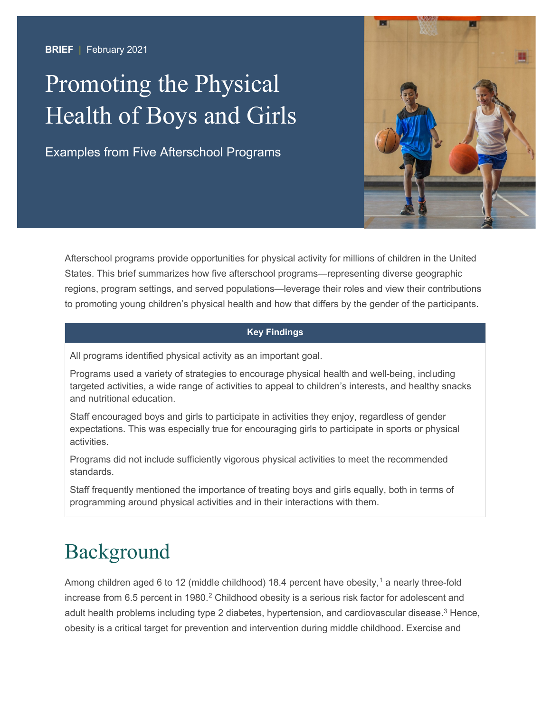### **BRIEF** | February 2021

# Health of Boys and Girls Promoting the Physical

Examples from Five Afterschool Programs



Afterschool programs provide opportunities for physical activity for millions of children in the United States. This brief summarizes how five afterschool programs—representing diverse geographic regions, program settings, and served populations—leverage their roles and view their contributions to promoting young children's physical health and how that differs by the gender of the participants.

### **Key Findings**

All programs identified physical activity as an important goal.

Programs used a variety of strategies to encourage physical health and well-being, including targeted activities, a wide range of activities to appeal to children's interests, and healthy snacks and nutritional education.

Staff encouraged boys and girls to participate in activities they enjoy, regardless of gender expectations. This was especially true for encouraging girls to participate in sports or physical activities.

Programs did not include sufficiently vigorous physical activities to meet the recommended standards.

Staff frequently mentioned the importance of treating boys and girls equally, both in terms of programming around physical activities and in their interactions with them.

### Background

Among children aged 6 to 12 (middle childhood) 18.4 percent have obesity, [1](#page-7-0) a nearly three-fold increase from 6.5 percent in 1980. [2](#page-7-1) Childhood obesity is a serious risk factor for adolescent and adult health problems including type 2 diabetes, hypertension, and cardiovascular disease. [3](#page-7-2) Hence, obesity is a critical target for prevention and intervention during middle childhood. Exercise and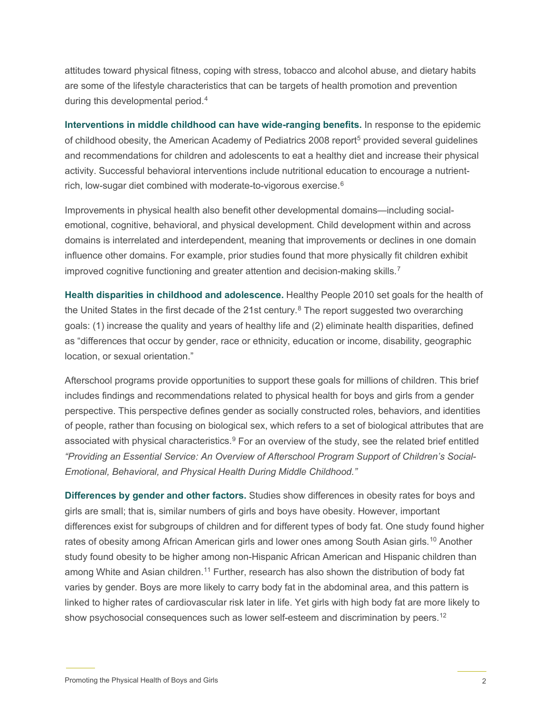attitudes toward physical fitness, coping with stress, tobacco and alcohol abuse, and dietary habits are some of the lifestyle characteristics that can be targets of health promotion and prevention during this developmental period. [4](#page-7-3)

**Interventions in middle childhood can have wide-ranging benefits.** In response to the epidemic of childhood obesity, the American Academy of Pediatrics 2008 report<sup>[5](#page-7-4)</sup> provided several guidelines and recommendations for children and adolescents to eat a healthy diet and increase their physical activity. Successful behavioral interventions include nutritional education to encourage a nutrientrich, low-sugar diet combined with moderate-to-vigorous exercise. $^6$  $^6$ 

Improvements in physical health also benefit other developmental domains—including socialemotional, cognitive, behavioral, and physical development. Child development within and across domains is interrelated and interdependent, meaning that improvements or declines in one domain influence other domains. For example, prior studies found that more physically fit children exhibit improved cognitive functioning and greater attention and decision-making skills.[7](#page-7-6)

**Health disparities in childhood and adolescence.** Healthy People 2010 set goals for the health of the United States in the first decade of the 21st century.<sup>8</sup> The report suggested two overarching goals: (1) increase the quality and years of healthy life and (2) eliminate health disparities, defined as "differences that occur by gender, race or ethnicity, education or income, disability, geographic location, or sexual orientation."

Afterschool programs provide opportunities to support these goals for millions of children. This brief includes findings and recommendations related to physical health for boys and girls from a gender perspective. This perspective defines gender as socially constructed roles, behaviors, and identities of people, rather than focusing on biological sex, which refers to a set of biological attributes that are associated with physical characteristics.<sup>[9](#page-7-8)</sup> For an overview of the study, see the related brief entitled *"Providing an Essential Service: An Overview of Afterschool Program Support of Children's Social-Emotional, Behavioral, and Physical Health During Middle Childhood."*

**Differences by gender and other factors.** Studies show differences in obesity rates for boys and girls are small; that is, similar numbers of girls and boys have obesity. However, important differences exist for subgroups of children and for different types of body fat. One study found higher rates of obesity among African American girls and lower ones among South Asian girls. [10](#page-7-9) Another study found obesity to be higher among non-Hispanic African American and Hispanic children than among White and Asian children.<sup>[11](#page-7-10)</sup> Further, research has also shown the distribution of body fat varies by gender. Boys are more likely to carry body fat in the abdominal area, and this pattern is linked to higher rates of cardiovascular risk later in life. Yet girls with high body fat are more likely to show psychosocial consequences such as lower self-esteem and discrimination by peers. [12](#page-7-11)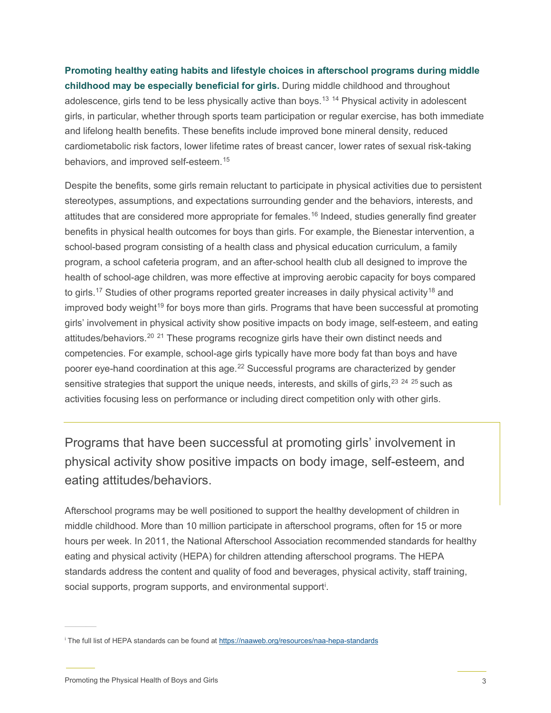**Promoting healthy eating habits and lifestyle choices in afterschool programs during middle childhood may be especially beneficial for girls.** During middle childhood and throughout adolescence, girls tend to be less physically active than boys. [13](#page-7-12) [14](#page-7-13) Physical activity in adolescent girls, in particular, whether through sports team participation or regular exercise, has both immediate and lifelong health benefits. These benefits include improved bone mineral density, reduced cardiometabolic risk factors, lower lifetime rates of breast cancer, lower rates of sexual risk-taking behaviors, and improved self-esteem. [15](#page-7-14)

Despite the benefits, some girls remain reluctant to participate in physical activities due to persistent stereotypes, assumptions, and expectations surrounding gender and the behaviors, interests, and attitudes that are considered more appropriate for females.<sup>[16](#page-7-15)</sup> Indeed, studies generally find greater benefits in physical health outcomes for boys than girls. For example, the Bienestar intervention, a school-based program consisting of a health class and physical education curriculum, a family program, a school cafeteria program, and an after-school health club all designed to improve the health of school-age children, was more effective at improving aerobic capacity for boys compared to girls. $^{17}$  $^{17}$  $^{17}$  Studies of other programs reported greater increases in daily physical activity $^{18}$  $^{18}$  $^{18}$  and improved body weight<sup>[19](#page-7-17)</sup> for boys more than girls. Programs that have been successful at promoting girls' involvement in physical activity show positive impacts on body image, self-esteem, and eating attitudes/behaviors.<sup>[20](#page-7-2)\_[21](#page-7-18)</sup> These programs recognize girls have their own distinct needs and competencies. For example, school-age girls typically have more body fat than boys and have poorer eye-hand coordination at this age. [22](#page-7-19) Successful programs are characterized by gender sensitive strategies that support the unique needs, interests, and skills of girls, $^\mathrm{23}$  $^\mathrm{23}$  $^\mathrm{23}$   $^\mathrm{24}$  $^\mathrm{24}$  $^\mathrm{24}$   $^\mathrm{25}$  $^\mathrm{25}$  $^\mathrm{25}$  such as activities focusing less on performance or including direct competition only with other girls.

Programs that have been successful at promoting girls' involvement in physical activity show positive impacts on body image, self-esteem, and eating attitudes/behaviors.

Afterschool programs may be well positioned to support the healthy development of children in middle childhood. More than 10 million participate in afterschool programs, often for 15 or more hours per week. In 2011, the National Afterschool Association recommended standards for healthy eating and physical activity (HEPA) for children attending afterschool programs. The HEPA standards address the content and quality of food and beverages, physical activity, staff training, soc[i](#page-2-0)al supports, program supports, and environmental support<sup>i</sup>.

<span id="page-2-0"></span><sup>i</sup> The full list of HEPA standards can be found at <https://naaweb.org/resources/naa-hepa-standards>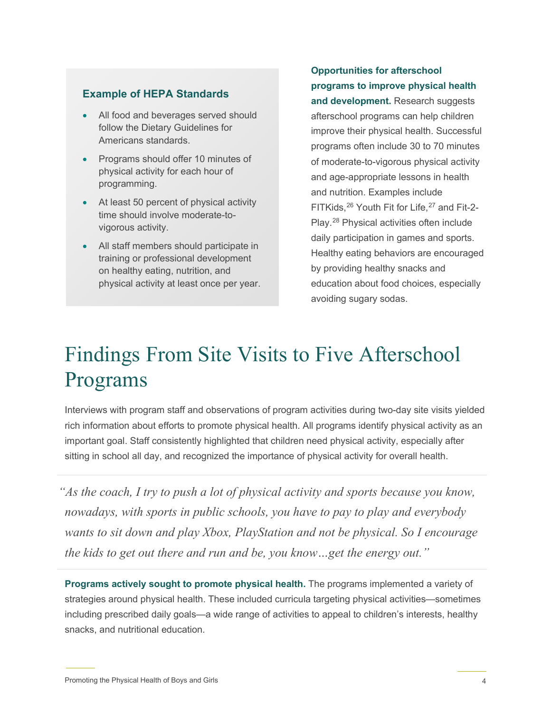### **Example of HEPA Standards**

- All food and beverages served should follow the Dietary Guidelines for Americans standards.
- Programs should offer 10 minutes of physical activity for each hour of programming.
- At least 50 percent of physical activity time should involve moderate-tovigorous activity.
- All staff members should participate in training or professional development on healthy eating, nutrition, and physical activity at least once per year.

### **Opportunities for afterschool programs to improve physical health**

**and development.** Research suggests afterschool programs can help children improve their physical health. Successful programs often include 30 to 70 minutes of moderate-to-vigorous physical activity and age-appropriate lessons in health and nutrition. Examples include FITKids, [26](#page-7-23) Youth Fit for Life, [27](#page-7-24) and Fit-2- Play. [28](#page-7-25) Physical activities often include daily participation in games and sports. Healthy eating behaviors are encouraged by providing healthy snacks and education about food choices, especially avoiding sugary sodas.

## Findings From Site Visits to Five Afterschool Programs

Interviews with program staff and observations of program activities during two-day site visits yielded rich information about efforts to promote physical health. All programs identify physical activity as an important goal. Staff consistently highlighted that children need physical activity, especially after sitting in school all day, and recognized the importance of physical activity for overall health.

*As the coach, I try to push a lot of physical activity and sports because you know, nowadays, with sports in public schools, you have to pay to play and everybody wants to sit down and play Xbox, PlayStation and not be physical. So I encourage the kids to get out there and run and be, you know…get the energy out."*

**Programs actively sought to promote physical health.** The programs implemented a variety of strategies around physical health. These included curricula targeting physical activities—sometimes including prescribed daily goals—a wide range of activities to appeal to children's interests, healthy snacks, and nutritional education.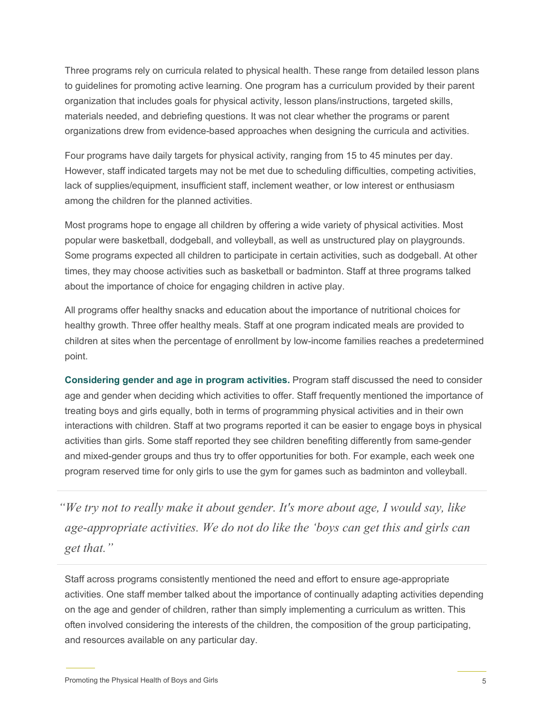Three programs rely on curricula related to physical health. These range from detailed lesson plans to guidelines for promoting active learning. One program has a curriculum provided by their parent organization that includes goals for physical activity, lesson plans/instructions, targeted skills, materials needed, and debriefing questions. It was not clear whether the programs or parent organizations drew from evidence-based approaches when designing the curricula and activities.

Four programs have daily targets for physical activity, ranging from 15 to 45 minutes per day. However, staff indicated targets may not be met due to scheduling difficulties, competing activities, lack of supplies/equipment, insufficient staff, inclement weather, or low interest or enthusiasm among the children for the planned activities.

Most programs hope to engage all children by offering a wide variety of physical activities. Most popular were basketball, dodgeball, and volleyball, as well as unstructured play on playgrounds. Some programs expected all children to participate in certain activities, such as dodgeball. At other times, they may choose activities such as basketball or badminton. Staff at three programs talked about the importance of choice for engaging children in active play.

All programs offer healthy snacks and education about the importance of nutritional choices for healthy growth. Three offer healthy meals. Staff at one program indicated meals are provided to children at sites when the percentage of enrollment by low-income families reaches a predetermined point.

**Considering gender and age in program activities.** Program staff discussed the need to consider age and gender when deciding which activities to offer. Staff frequently mentioned the importance of treating boys and girls equally, both in terms of programming physical activities and in their own interactions with children. Staff at two programs reported it can be easier to engage boys in physical activities than girls. Some staff reported they see children benefiting differently from same-gender and mixed-gender groups and thus try to offer opportunities for both. For example, each week one program reserved time for only girls to use the gym for games such as badminton and volleyball.

*"We try not to really make it about gender. It's more about age, I would say, like age-appropriate activities. We do not do like the 'boys can get this and girls can get that."*

Staff across programs consistently mentioned the need and effort to ensure age-appropriate activities. One staff member talked about the importance of continually adapting activities depending on the age and gender of children, rather than simply implementing a curriculum as written. This often involved considering the interests of the children, the composition of the group participating, and resources available on any particular day.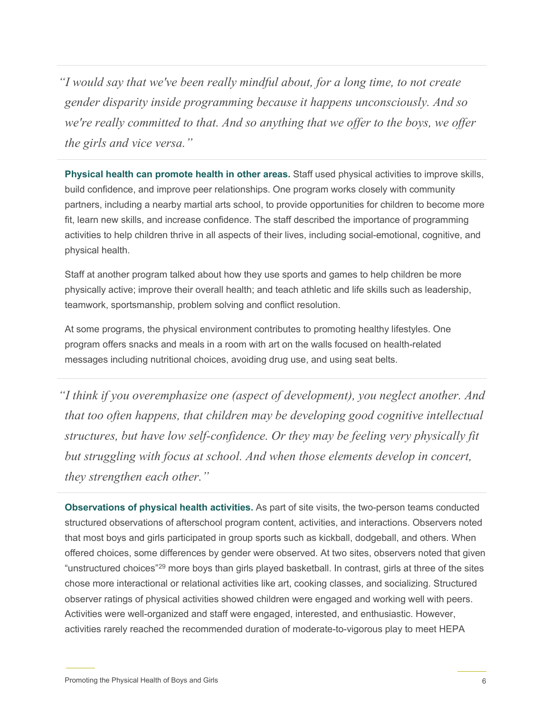*"I would say that we've been really mindful about, for a long time, to not create gender disparity inside programming because it happens unconsciously. And so we're really committed to that. And so anything that we offer to the boys, we offer the girls and vice versa."*

**Physical health can promote health in other areas.** Staff used physical activities to improve skills, build confidence, and improve peer relationships. One program works closely with community partners, including a nearby martial arts school, to provide opportunities for children to become more fit, learn new skills, and increase confidence. The staff described the importance of programming activities to help children thrive in all aspects of their lives, including social-emotional, cognitive, and physical health.

Staff at another program talked about how they use sports and games to help children be more physically active; improve their overall health; and teach athletic and life skills such as leadership, teamwork, sportsmanship, problem solving and conflict resolution.

At some programs, the physical environment contributes to promoting healthy lifestyles. One program offers snacks and meals in a room with art on the walls focused on health-related messages including nutritional choices, avoiding drug use, and using seat belts.

*"I think if you overemphasize one (aspect of development), you neglect another. And that too often happens, that children may be developing good cognitive intellectual structures, but have low self-confidence. Or they may be feeling very physically fit but struggling with focus at school. And when those elements develop in concert, they strengthen each other."*

**Observations of physical health activities.** As part of site visits, the two-person teams conducted structured observations of afterschool program content, activities, and interactions. Observers noted that most boys and girls participated in group sports such as kickball, dodgeball, and others. When offered choices, some differences by gender were observed. At two sites, observers noted that given "unstructured choices["29](#page-7-26) more boys than girls played basketball. In contrast, girls at three of the sites chose more interactional or relational activities like art, cooking classes, and socializing. Structured observer ratings of physical activities showed children were engaged and working well with peers. Activities were well-organized and staff were engaged, interested, and enthusiastic. However, activities rarely reached the recommended duration of moderate-to-vigorous play to meet HEPA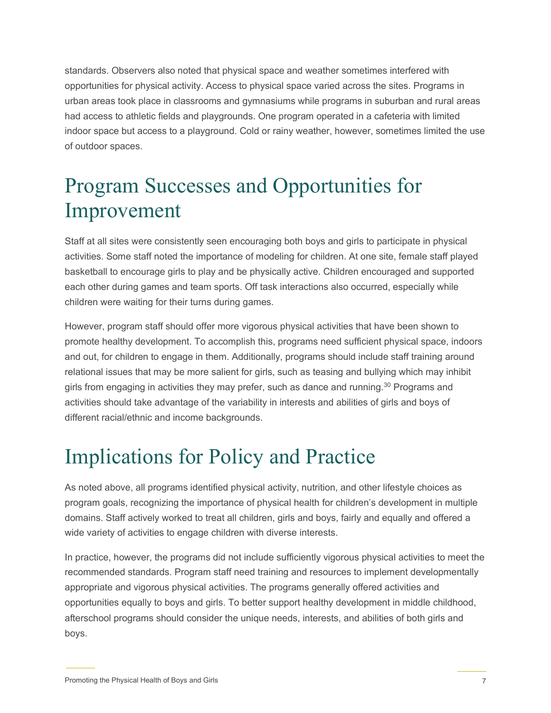standards. Observers also noted that physical space and weather sometimes interfered with opportunities for physical activity. Access to physical space varied across the sites. Programs in urban areas took place in classrooms and gymnasiums while programs in suburban and rural areas had access to athletic fields and playgrounds. One program operated in a cafeteria with limited indoor space but access to a playground. Cold or rainy weather, however, sometimes limited the use of outdoor spaces.

### Program Successes and Opportunities for Improvement

Staff at all sites were consistently seen encouraging both boys and girls to participate in physical activities. Some staff noted the importance of modeling for children. At one site, female staff played basketball to encourage girls to play and be physically active. Children encouraged and supported each other during games and team sports. Off task interactions also occurred, especially while children were waiting for their turns during games.

However, program staff should offer more vigorous physical activities that have been shown to promote healthy development. To accomplish this, programs need sufficient physical space, indoors and out, for children to engage in them. Additionally, programs should include staff training around relational issues that may be more salient for girls, such as teasing and bullying which may inhibit girls from engaging in activities they may prefer, such as dance and running. [30](#page-7-27) Programs and activities should take advantage of the variability in interests and abilities of girls and boys of different racial/ethnic and income backgrounds.

### Implications for Policy and Practice

As noted above, all programs identified physical activity, nutrition, and other lifestyle choices as program goals, recognizing the importance of physical health for children's development in multiple domains. Staff actively worked to treat all children, girls and boys, fairly and equally and offered a wide variety of activities to engage children with diverse interests.

In practice, however, the programs did not include sufficiently vigorous physical activities to meet the recommended standards. Program staff need training and resources to implement developmentally appropriate and vigorous physical activities. The programs generally offered activities and opportunities equally to boys and girls. To better support healthy development in middle childhood, afterschool programs should consider the unique needs, interests, and abilities of both girls and boys.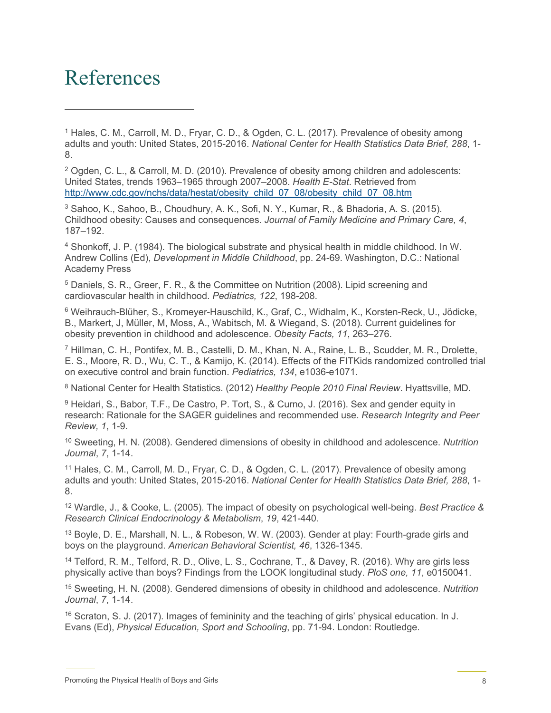### <span id="page-7-16"></span>References

<span id="page-7-0"></span><sup>1</sup> Hales, C. M., Carroll, M. D., Fryar, C. D., & Ogden, C. L. (2017). Prevalence of obesity among adults and youth: United States, 2015-2016. *National Center for Health Statistics Data Brief, 288*, 1- 8.

<span id="page-7-17"></span><span id="page-7-1"></span><sup>2</sup> Ogden, C. L., & Carroll, M. D. (2010). Prevalence of obesity among children and adolescents: United States, trends 1963–1965 through 2007–2008. *Health E-Stat*. Retrieved from [http://www.cdc.gov/nchs/data/hestat/obesity\\_child\\_07\\_08/obesity\\_child\\_07\\_08.htm](http://www.cdc.gov/nchs/data/hestat/obesity_child_07_08/obesity_child_07_08.htm) 

<span id="page-7-2"></span><sup>3</sup> Sahoo, K., Sahoo, B., Choudhury, A. K., Sofi, N. Y., Kumar, R., & Bhadoria, A. S. (2015). Childhood obesity: Causes and consequences. *Journal of Family Medicine and Primary Care, 4*, 187–192.

<span id="page-7-19"></span><span id="page-7-18"></span><span id="page-7-3"></span><sup>4</sup> Shonkoff, J. P. (1984). The biological substrate and physical health in middle childhood. In W. Andrew Collins (Ed), *Development in Middle Childhood*, pp. 24-69. Washington, D.C.: National Academy Press

<span id="page-7-20"></span><span id="page-7-4"></span><sup>5</sup> Daniels, S. R., Greer, F. R., & the Committee on Nutrition (2008). Lipid screening and cardiovascular health in childhood. *Pediatrics, 122*, 198-208.

<span id="page-7-21"></span><span id="page-7-5"></span><sup>6</sup> Weihrauch-Blüher, S., Kromeyer-Hauschild, K., Graf, C., Widhalm, K., Korsten-Reck, U., Jödicke, B., Markert, J, Müller, M, Moss, A., Wabitsch, M. & Wiegand, S. (2018). Current guidelines for obesity prevention in childhood and adolescence. *Obesity Facts, 11*, 263–276.

<span id="page-7-22"></span><span id="page-7-6"></span><sup>7</sup> Hillman, C. H., Pontifex, M. B., Castelli, D. M., Khan, N. A., Raine, L. B., Scudder, M. R., Drolette, E. S., Moore, R. D., Wu, C. T., & Kamijo, K. (2014). Effects of the FITKids randomized controlled trial on executive control and brain function. *Pediatrics, 134*, e1036-e1071.

<span id="page-7-23"></span><span id="page-7-7"></span><sup>8</sup> National Center for Health Statistics. (2012) *Healthy People 2010 Final Review*. Hyattsville, MD.

<span id="page-7-8"></span><sup>9</sup> Heidari, S., Babor, T.F., De Castro, P. Tort, S., & Curno, J. (2016). Sex and gender equity in research: Rationale for the SAGER guidelines and recommended use. *Research Integrity and Peer Review, 1*, 1-9.

<span id="page-7-24"></span><span id="page-7-9"></span><sup>10</sup> Sweeting, H. N. (2008). Gendered dimensions of obesity in childhood and adolescence. *Nutrition Journal*, *7*, 1-14.

<span id="page-7-25"></span><span id="page-7-10"></span><sup>11</sup> Hales, C. M., Carroll, M. D., Fryar, C. D., & Ogden, C. L. (2017). Prevalence of obesity among adults and youth: United States, 2015-2016. *National Center for Health Statistics Data Brief, 288*, 1- 8.

<span id="page-7-26"></span><span id="page-7-11"></span><sup>12</sup> Wardle, J., & Cooke, L. (2005). The impact of obesity on psychological well-being. *Best Practice & Research Clinical Endocrinology & Metabolism*, *19*, 421-440.

<span id="page-7-12"></span><sup>13</sup> Boyle, D. E., Marshall, N. L., & Robeson, W. W. (2003). Gender at play: Fourth-grade girls and boys on the playground. *American Behavioral Scientist, 46*, 1326-1345.

<span id="page-7-27"></span><span id="page-7-13"></span><sup>14</sup> Telford, R. M., Telford, R. D., Olive, L. S., Cochrane, T., & Davey, R. (2016). Why are girls less physically active than boys? Findings from the LOOK longitudinal study. *PloS one, 11*, e0150041.

<span id="page-7-14"></span><sup>15</sup> Sweeting, H. N. (2008). Gendered dimensions of obesity in childhood and adolescence. *Nutrition Journal*, *7*, 1-14.

<span id="page-7-15"></span><sup>16</sup> Scraton, S. J. (2017). Images of femininity and the teaching of girls' physical education. In J. Evans (Ed), *Physical Education, Sport and Schooling*, pp. 71-94. London: Routledge.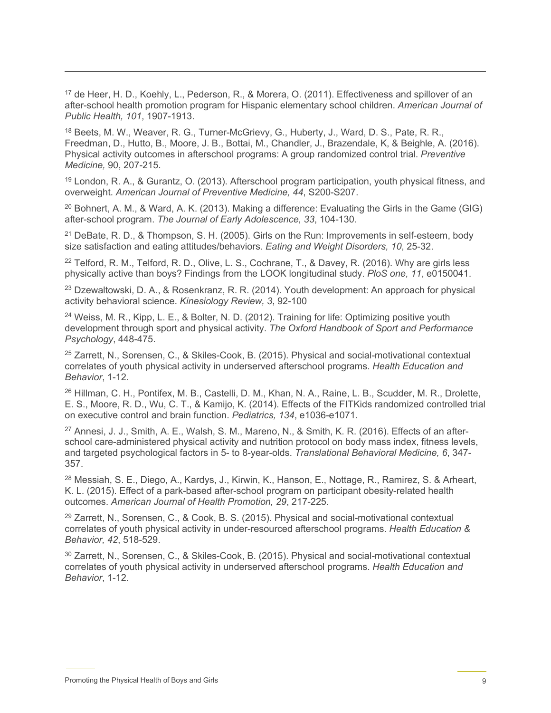<sup>17</sup> de Heer, H. D., Koehly, L., Pederson, R., & Morera, O. (2011). Effectiveness and spillover of an after-school health promotion program for Hispanic elementary school children. *American Journal of Public Health, 101*, 1907-1913.

<sup>18</sup> Beets, M. W., Weaver, R. G., Turner-McGrievy, G., Huberty, J., Ward, D. S., Pate, R. R., Freedman, D., Hutto, B., Moore, J. B., Bottai, M., Chandler, J., Brazendale, K, & Beighle, A. (2016). Physical activity outcomes in afterschool programs: A group randomized control trial. *Preventive Medicine,* 90, 207-215.

<sup>19</sup> London, R. A., & Gurantz, O. (2013). Afterschool program participation, youth physical fitness, and overweight. *American Journal of Preventive Medicine, 44*, S200-S207.

 $20$  Bohnert, A. M., & Ward, A. K. (2013). Making a difference: Evaluating the Girls in the Game (GIG) after-school program. *The Journal of Early Adolescence, 33*, 104-130.

<sup>21</sup> DeBate, R. D., & Thompson, S. H. (2005). Girls on the Run: Improvements in self-esteem, body size satisfaction and eating attitudes/behaviors. *Eating and Weight Disorders, 10*, 25-32.

<sup>22</sup> Telford, R. M., Telford, R. D., Olive, L. S., Cochrane, T., & Davey, R. (2016). Why are girls less physically active than boys? Findings from the LOOK longitudinal study. *PloS one, 11*, e0150041.

<sup>23</sup> Dzewaltowski, D. A., & Rosenkranz, R. R. (2014). Youth development: An approach for physical activity behavioral science. *Kinesiology Review, 3*, 92-100

<sup>24</sup> Weiss, M. R., Kipp, L. E., & Bolter, N. D. (2012). Training for life: Optimizing positive youth development through sport and physical activity. *The Oxford Handbook of Sport and Performance Psychology*, 448-475.

<sup>25</sup> Zarrett, N., Sorensen, C., & Skiles-Cook, B. (2015). Physical and social-motivational contextual correlates of youth physical activity in underserved afterschool programs. *Health Education and Behavior*, 1-12.

<sup>26</sup> Hillman, C. H., Pontifex, M. B., Castelli, D. M., Khan, N. A., Raine, L. B., Scudder, M. R., Drolette, E. S., Moore, R. D., Wu, C. T., & Kamijo, K. (2014). Effects of the FITKids randomized controlled trial on executive control and brain function. *Pediatrics, 134*, e1036-e1071.

<sup>27</sup> Annesi, J. J., Smith, A. E., Walsh, S. M., Mareno, N., & Smith, K. R. (2016). Effects of an afterschool care-administered physical activity and nutrition protocol on body mass index, fitness levels, and targeted psychological factors in 5- to 8-year-olds. *Translational Behavioral Medicine, 6*, 347- 357.

<sup>28</sup> Messiah, S. E., Diego, A., Kardys, J., Kirwin, K., Hanson, E., Nottage, R., Ramirez, S. & Arheart, K. L. (2015). Effect of a park-based after-school program on participant obesity-related health outcomes. *American Journal of Health Promotion, 29*, 217-225.

<sup>29</sup> Zarrett, N., Sorensen, C., & Cook, B. S. (2015). Physical and social-motivational contextual correlates of youth physical activity in under-resourced afterschool programs. *Health Education & Behavior, 42*, 518-529.

<sup>30</sup> Zarrett, N., Sorensen, C., & Skiles-Cook, B. (2015). Physical and social-motivational contextual correlates of youth physical activity in underserved afterschool programs. *Health Education and Behavior*, 1-12.